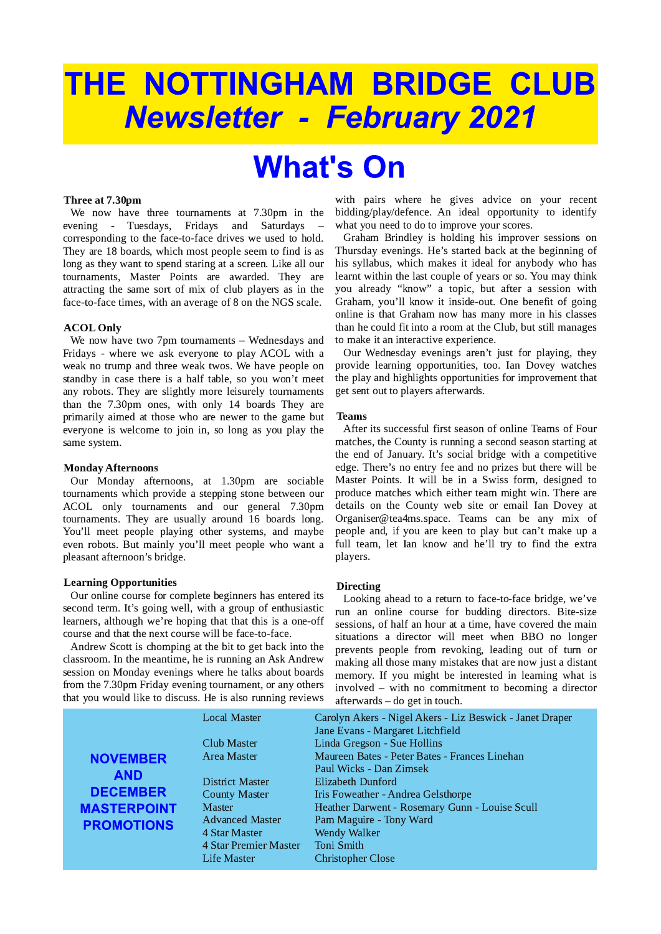# THE NOTTINGHAM BRIDGE CLUB **Newsletter - February 2021**

## **What's On**

## Three at 7.30pm

We now have three tournaments at 7.30pm in the - Tuesdays, Fridays and Saturdays evening corresponding to the face-to-face drives we used to hold. They are 18 boards, which most people seem to find is as long as they want to spend staring at a screen. Like all our tournaments, Master Points are awarded. They are attracting the same sort of mix of club players as in the face-to-face times, with an average of 8 on the NGS scale.

## **ACOL Only**

We now have two  $7$ pm tournaments  $-$  Wednesdays and Fridays - where we ask everyone to play ACOL with a weak no trump and three weak twos. We have people on standby in case there is a half table, so you won't meet any robots. They are slightly more leisurely tournaments than the 7.30pm ones, with only 14 boards They are primarily aimed at those who are newer to the game but everyone is welcome to join in, so long as you play the same system.

## **Monday Afternoons**

Our Monday afternoons, at 1.30pm are sociable tournaments which provide a stepping stone between our ACOL only tournaments and our general 7.30pm tournaments. They are usually around 16 boards long. You'll meet people playing other systems, and maybe even robots. But mainly you'll meet people who want a pleasant afternoon's bridge.

### **Learning Opportunities**

Our online course for complete beginners has entered its second term. It's going well, with a group of enthusiastic learners, although we're hoping that that this is a one-off course and that the next course will be face-to-face.

Andrew Scott is chomping at the bit to get back into the classroom. In the meantime, he is running an Ask Andrew session on Monday evenings where he talks about boards from the 7.30pm Friday evening tournament, or any others that you would like to discuss. He is also running reviews with pairs where he gives advice on your recent bidding/play/defence. An ideal opportunity to identify what you need to do to improve your scores.

Graham Brindley is holding his improver sessions on Thursday evenings. He's started back at the beginning of his syllabus, which makes it ideal for anybody who has learnt within the last couple of years or so. You may think you already "know" a topic, but after a session with Graham, you'll know it inside-out. One benefit of going online is that Graham now has many more in his classes than he could fit into a room at the Club, but still manages to make it an interactive experience.

Our Wednesday evenings aren't just for playing, they provide learning opportunities, too. Ian Dovey watches the play and highlights opportunities for improvement that get sent out to players afterwards.

#### **Teams**

After its successful first season of online Teams of Four matches, the County is running a second season starting at the end of January. It's social bridge with a competitive edge. There's no entry fee and no prizes but there will be Master Points. It will be in a Swiss form, designed to produce matches which either team might win. There are details on the County web site or email Ian Dovey at Organiser@tea4ms.space. Teams can be any mix of people and, if you are keen to play but can't make up a full team, let Ian know and he'll try to find the extra players.

#### **Directing**

Looking ahead to a return to face-to-face bridge, we've run an online course for budding directors. Bite-size sessions, of half an hour at a time, have covered the main situations a director will meet when BBO no longer prevents people from revoking, leading out of turn or making all those many mistakes that are now just a distant memory. If you might be interested in learning what is involved – with no commitment to becoming a director afterwards - do get in touch.

|                                                  | <b>Local Master</b>    | Carolyn Akers - Nigel Akers - Liz Beswick - Janet Draper<br>Jane Evans - Margaret Litchfield |
|--------------------------------------------------|------------------------|----------------------------------------------------------------------------------------------|
| <b>NOVEMBER</b><br><b>AND</b><br><b>DECEMBER</b> | Club Master            | Linda Gregson - Sue Hollins                                                                  |
|                                                  | Area Master            | Maureen Bates - Peter Bates - Frances Linehan                                                |
|                                                  |                        | Paul Wicks - Dan Zimsek                                                                      |
|                                                  | <b>District Master</b> | Elizabeth Dunford                                                                            |
|                                                  | <b>County Master</b>   | Iris Foweather - Andrea Gelsthorpe                                                           |
| <b>MASTERPOINT</b>                               | <b>Master</b>          | Heather Darwent - Rosemary Gunn - Louise Scull                                               |
| <b>PROMOTIONS</b>                                | <b>Advanced Master</b> | Pam Maguire - Tony Ward                                                                      |
|                                                  | 4 Star Master          | <b>Wendy Walker</b>                                                                          |
|                                                  | 4 Star Premier Master  | Toni Smith                                                                                   |
|                                                  | <b>Life Master</b>     | <b>Christopher Close</b>                                                                     |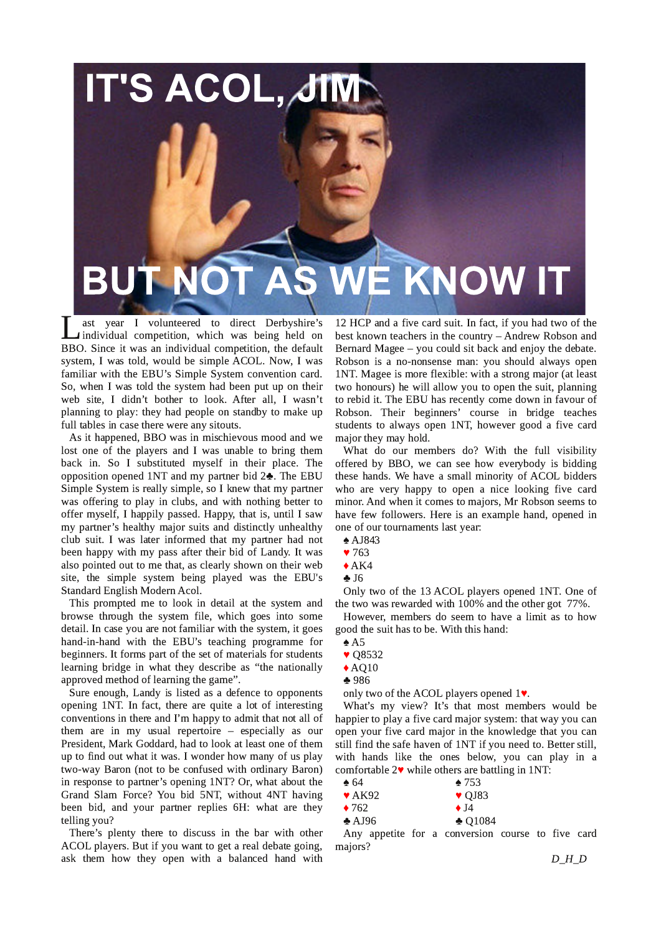

I ast year I volunteered to direct Derbyshire's<br>individual competition, which was being held on<br>BBO. Since it was an individual competition, the default ast vear I volunteered to direct Derbyshire's Individual competition, which was being held on system, I was told, would be simple ACOL. Now, I was familiar with the EBU's Simple System convention card. So, when I was told the system had been put up on their web site, I didn't bother to look. After all, I wasn't planning to play: they had people on standby to make up full tables in case there were any sitouts.

As it happened, BBO was in mischievous mood and we lost one of the players and I was unable to bring them back in. So I substituted myself in their place. The opposition opened 1NT and my partner bid 2 $\clubsuit$ . The EBU Simple System is really simple, so I knew that my partner was offering to play in clubs, and with nothing better to offer myself, I happily passed. Happy, that is, until I saw my partner's healthy major suits and distinctly unhealthy club suit. I was later informed that my partner had not been happy with my pass after their bid of Landy. It was also pointed out to me that, as clearly shown on their web site, the simple system being played was the EBU's Standard English Modern Acol.

This prompted me to look in detail at the system and browse through the system file, which goes into some detail. In case you are not familiar with the system, it goes hand-in-hand with the EBU's teaching programme for beginners. It forms part of the set of materials for students learning bridge in what they describe as "the nationally approved method of learning the game".

Sure enough, Landy is listed as a defence to opponents opening 1NT. In fact, there are quite a lot of interesting conventions in there and I'm happy to admit that not all of them are in my usual repertoire  $-$  especially as our President, Mark Goddard, had to look at least one of them up to find out what it was. I wonder how many of us play two-way Baron (not to be confused with ordinary Baron) in response to partner's opening  $1\mathrm{NT}$ ? Or, what about the Grand Slam Force? You bid 5NT, without 4NT having been bid, and your partner replies 6H: what are they telling you?

There's plenty there to discuss in the bar with other ACOL players. But if you want to get a real debate going, ask them how they open with a balanced hand with

12 HCP and a five card suit. In fact, if you had two of the best known teachers in the country - Andrew Robson and Bernard Magee  $-$  you could sit back and enjoy the debate. Robson is a no-nonsense man: you should always open 1NT. Magee is more flexible: with a strong major (at least two honours) he will allow you to open the suit, planning to rebid it. The EBU has recently come down in favour of Robson. Their beginners' course in bridge teaches students to always open 1NT, however good a five card major they may hold.

What do our members do? With the full visibility offered by BBO, we can see how everybody is bidding these hands. We have a small minority of ACOL bidders who are very happy to open a nice looking five card minor. And when it comes to majors, Mr Robson seems to have few followers. Here is an example hand, opened in one of our tournaments last year:

- $\triangle$  AJ843
- $\blacktriangledown$  763
- $*AK4$
- $\clubsuit$  J6

Only two of the 13 ACOL players opened 1NT. One of the two was rewarded with  $100\%$  and the other got  $77\%$ .

However, members do seem to have a limit as to how good the suit has to be. With this hand:

- $\triangle$  A5
- $\blacktriangledown$  Q8532
- $\blacklozenge$  AQ10
- ♣986

only two of the ACOL players opened  $1\blacktriangledown$ .

What's my view? It's that most members would be happier to play a five card major system: that way you can open your five card major in the knowledge that you can still find the safe haven of 1NT if you need to. Better still, with hands like the ones below, you can play in a comfortable  $2\blacktriangledown$  while others are battling in 1NT:

- $\triangle$  64  $\triangle$  753  $\blacktriangledown$  AK92  $\blacktriangledown$  QJ83
- $\bullet$  762  $\bullet$  J4
- $\triangle$  AJ96  $\triangle$  O1084

Any appetite for a conversion course to five card majors?

D\_H\_D